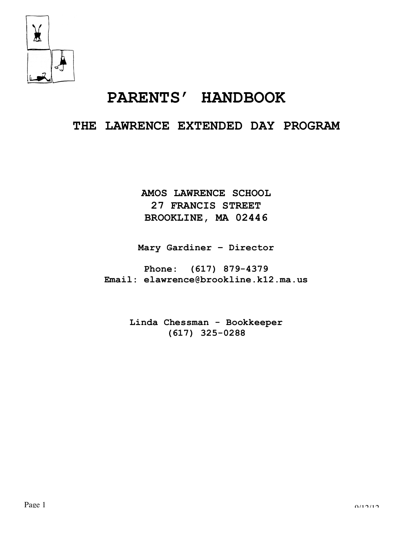

# **PARENTS' HANDBOOK**

# **THE LAWRENCE EXTENDED DAY PROGRAM**

**AMOS LAWRENCE SCHOOL 27 FRANCIS STREET BROOKLINE, MA 02446**

**Mary Gardiner – Director**

**Phone: (617) 879-4379 Email: elawrence@brookline.k12.ma.us**

> **Linda Chessman - Bookkeeper (617) 325-0288**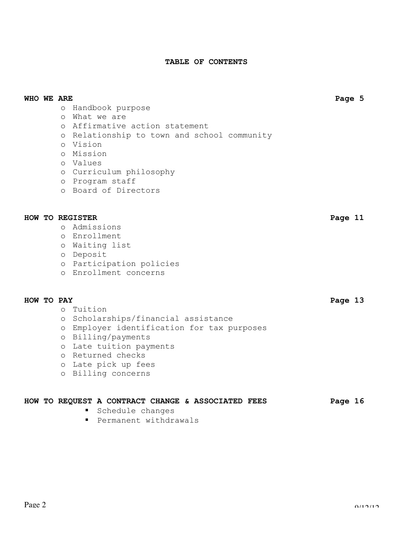# **TABLE OF CONTENTS**

# **WHO WE ARE Page 5**

- o Handbook purpose
- o What we are
- o Affirmative action statement
- o Relationship to town and school community
- o Vision
- o Mission
- o Values
- o Curriculum philosophy
- o Program staff
- o Board of Directors

# **HOW TO REGISTER Page 11**

- o Admissions
- o Enrollment
- o Waiting list
- o Deposit
- o Participation policies
- o Enrollment concerns

# **HOW TO PAY Page 13**

- o Tuition
- o Scholarships/financial assistance
- o Employer identification for tax purposes
- o Billing/payments
- o Late tuition payments
- o Returned checks
- o Late pick up fees
- o Billing concerns

# **HOW TO REQUEST A CONTRACT CHANGE & ASSOCIATED FEES Page 16**

- Schedule changes
- **Permanent withdrawals**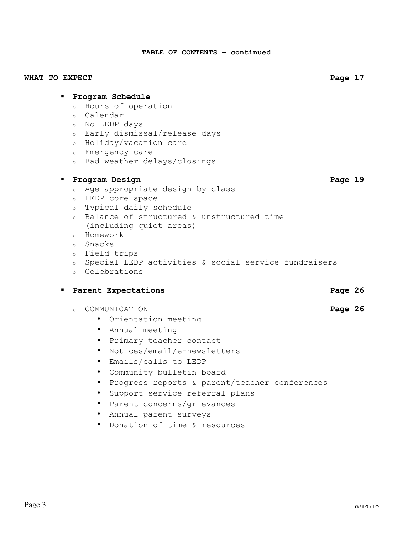**TABLE OF CONTENTS – continued**

# WHAT TO EXPECT **Page 17**

# **Program Schedule**

- <sup>o</sup> Hours of operation
- <sup>o</sup> Calendar
- <sup>o</sup> No LEDP days
- <sup>o</sup> Early dismissal/release days
- <sup>o</sup> Holiday/vacation care
- <sup>o</sup> Emergency care
- <sup>o</sup> Bad weather delays/closings

# **Program Design Page 19**

- <sup>o</sup> Age appropriate design by class
- <sup>o</sup> LEDP core space
- <sup>o</sup> Typical daily schedule
- <sup>o</sup> Balance of structured & unstructured time
- (including quiet areas)
- <sup>o</sup> Homework
- <sup>o</sup> Snacks
- <sup>o</sup> Field trips
- <sup>o</sup> Special LEDP activities & social service fundraisers
- <sup>o</sup> Celebrations

# **Parent Expectations According to Page 26**

- <sup>o</sup> COMMUNICATION **Page 26**
	- Orientation meeting
	- Annual meeting
	- Primary teacher contact
	- Notices/email/e-newsletters
	- Emails/calls to LEDP
	- Community bulletin board
	- Progress reports & parent/teacher conferences
	- Support service referral plans
	- Parent concerns/grievances
	- Annual parent surveys
	- Donation of time & resources

- 
-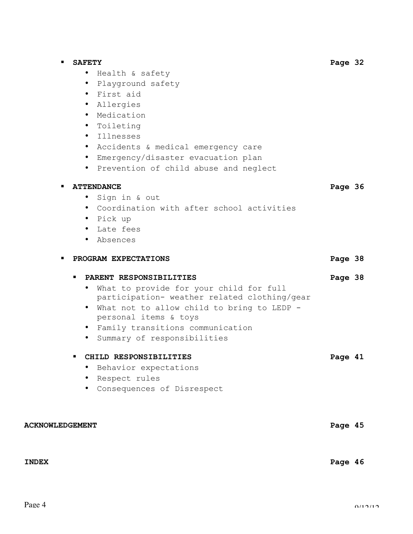|                        | <b>SAFETY</b>                                           | Page 32 |  |
|------------------------|---------------------------------------------------------|---------|--|
|                        | • Health & safety                                       |         |  |
|                        | · Playground safety                                     |         |  |
|                        | • First aid                                             |         |  |
|                        | · Allergies                                             |         |  |
|                        | Medication<br>$\bullet$                                 |         |  |
|                        | Toileting<br>$\bullet$                                  |         |  |
|                        | Illnesses<br>$\bullet$                                  |         |  |
|                        | • Accidents & medical emergency care                    |         |  |
|                        | • Emergency/disaster evacuation plan                    |         |  |
|                        | • Prevention of child abuse and neglect                 |         |  |
|                        | <b>ATTENDANCE</b>                                       | Page 36 |  |
|                        | Sign in & out<br>$\bullet$                              |         |  |
|                        | • Coordination with after school activities             |         |  |
|                        | • Pick up                                               |         |  |
|                        | Late fees                                               |         |  |
|                        | • Absences                                              |         |  |
|                        | PROGRAM EXPECTATIONS                                    | Page 38 |  |
|                        | PARENT RESPONSIBILITIES                                 | Page 38 |  |
|                        | What to provide for your child for full<br>$\bullet$    |         |  |
|                        | participation- weather related clothing/gear            |         |  |
|                        | What not to allow child to bring to LEDP -<br>$\bullet$ |         |  |
|                        | personal items & toys                                   |         |  |
|                        | • Family transitions communication                      |         |  |
|                        | Summary of responsibilities                             |         |  |
|                        | CHILD RESPONSIBILITIES                                  | Page 41 |  |
|                        | Behavior expectations                                   |         |  |
|                        | Respect rules                                           |         |  |
|                        | Consequences of Disrespect                              |         |  |
|                        |                                                         |         |  |
| <b>ACKNOWLEDGEMENT</b> |                                                         | Page 45 |  |
|                        |                                                         |         |  |
|                        |                                                         |         |  |
| <b>INDEX</b>           |                                                         | Page 46 |  |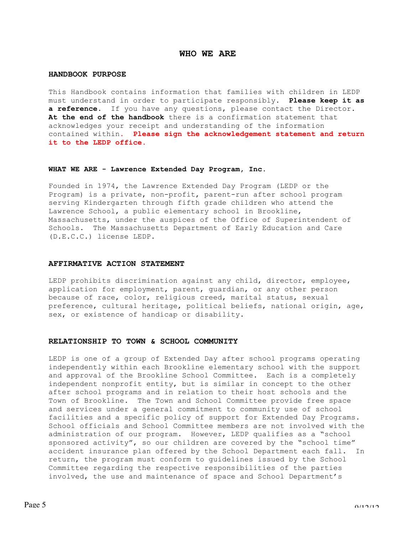# **WHO WE ARE**

# **HANDBOOK PURPOSE**

This Handbook contains information that families with children in LEDP must understand in order to participate responsibly. **Please keep it as a reference.** If you have any questions, please contact the Director. **At the end of the handbook** there is a confirmation statement that acknowledges your receipt and understanding of the information contained within**. Please sign the acknowledgement statement and return it to the LEDP office.**

#### **WHAT WE ARE - Lawrence Extended Day Program, Inc.**

Founded in 1974, the Lawrence Extended Day Program (LEDP or the Program) is a private, non-profit, parent-run after school program serving Kindergarten through fifth grade children who attend the Lawrence School, a public elementary school in Brookline, Massachusetts, under the auspices of the Office of Superintendent of Schools. The Massachusetts Department of Early Education and Care (D.E.C.C.) license LEDP.

#### **AFFIRMATIVE ACTION STATEMENT**

LEDP prohibits discrimination against any child, director, employee, application for employment, parent, guardian, or any other person because of race, color, religious creed, marital status, sexual preference, cultural heritage, political beliefs, national origin, age, sex, or existence of handicap or disability.

# **RELATIONSHIP TO TOWN & SCHOOL COMMUNITY**

LEDP is one of a group of Extended Day after school programs operating independently within each Brookline elementary school with the support and approval of the Brookline School Committee. Each is a completely independent nonprofit entity, but is similar in concept to the other after school programs and in relation to their host schools and the Town of Brookline. The Town and School Committee provide free space and services under a general commitment to community use of school facilities and a specific policy of support for Extended Day Programs. School officials and School Committee members are not involved with the administration of our program. However, LEDP qualifies as a "school sponsored activity", so our children are covered by the "school time" accident insurance plan offered by the School Department each fall. In return, the program must conform to guidelines issued by the School Committee regarding the respective responsibilities of the parties involved, the use and maintenance of space and School Department's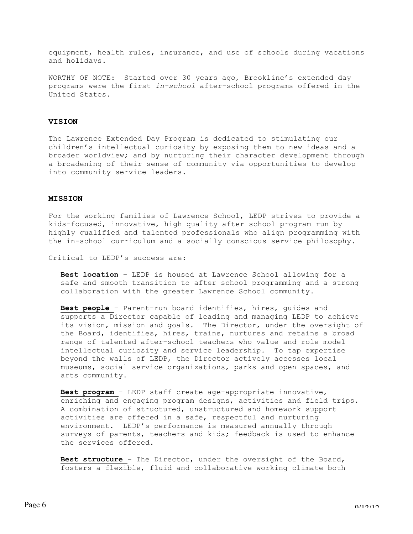equipment, health rules, insurance, and use of schools during vacations and holidays.

WORTHY OF NOTE: Started over 30 years ago, Brookline's extended day programs were the first *in-school* after-school programs offered in the United States.

# **VISION**

The Lawrence Extended Day Program is dedicated to stimulating our children's intellectual curiosity by exposing them to new ideas and a broader worldview; and by nurturing their character development through a broadening of their sense of community via opportunities to develop into community service leaders.

#### **MISSION**

For the working families of Lawrence School, LEDP strives to provide a kids-focused, innovative, high quality after school program run by highly qualified and talented professionals who align programming with the in-school curriculum and a socially conscious service philosophy.

Critical to LEDP's success are:

**Best location** – LEDP is housed at Lawrence School allowing for a safe and smooth transition to after school programming and a strong collaboration with the greater Lawrence School community.

**Best people** – Parent-run board identifies, hires, guides and supports a Director capable of leading and managing LEDP to achieve its vision, mission and goals. The Director, under the oversight of the Board, identifies, hires, trains, nurtures and retains a broad range of talented after-school teachers who value and role model intellectual curiosity and service leadership. To tap expertise beyond the walls of LEDP, the Director actively accesses local museums, social service organizations, parks and open spaces, and arts community.

**Best program** – LEDP staff create age-appropriate innovative, enriching and engaging program designs, activities and field trips. A combination of structured, unstructured and homework support activities are offered in a safe, respectful and nurturing environment. LEDP's performance is measured annually through surveys of parents, teachers and kids; feedback is used to enhance the services offered.

**Best structure** – The Director, under the oversight of the Board, fosters a flexible, fluid and collaborative working climate both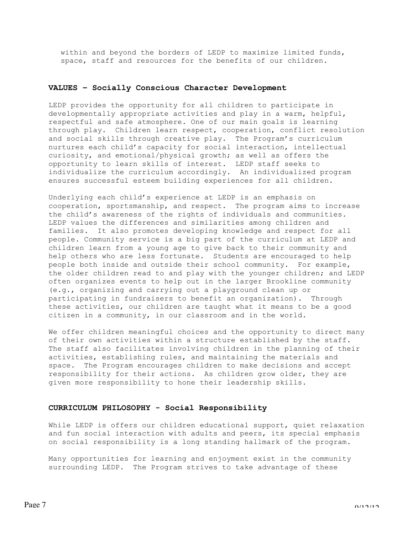within and beyond the borders of LEDP to maximize limited funds, space, staff and resources for the benefits of our children.

# **VALUES – Socially Conscious Character Development**

LEDP provides the opportunity for all children to participate in developmentally appropriate activities and play in a warm, helpful, respectful and safe atmosphere. One of our main goals is learning through play. Children learn respect, cooperation, conflict resolution and social skills through creative play. The Program's curriculum nurtures each child's capacity for social interaction, intellectual curiosity, and emotional/physical growth; as well as offers the opportunity to learn skills of interest. LEDP staff seeks to individualize the curriculum accordingly. An individualized program ensures successful esteem building experiences for all children.

Underlying each child's experience at LEDP is an emphasis on cooperation, sportsmanship, and respect. The program aims to increase the child's awareness of the rights of individuals and communities. LEDP values the differences and similarities among children and families. It also promotes developing knowledge and respect for all people. Community service is a big part of the curriculum at LEDP and children learn from a young age to give back to their community and help others who are less fortunate. Students are encouraged to help people both inside and outside their school community. For example, the older children read to and play with the younger children; and LEDP often organizes events to help out in the larger Brookline community (e.g., organizing and carrying out a playground clean up or participating in fundraisers to benefit an organization). Through these activities, our children are taught what it means to be a good citizen in a community, in our classroom and in the world.

We offer children meaningful choices and the opportunity to direct many of their own activities within a structure established by the staff. The staff also facilitates involving children in the planning of their activities, establishing rules, and maintaining the materials and space. The Program encourages children to make decisions and accept responsibility for their actions. As children grow older, they are given more responsibility to hone their leadership skills.

# **CURRICULUM PHILOSOPHY - Social Responsibility**

While LEDP is offers our children educational support, quiet relaxation and fun social interaction with adults and peers, its special emphasis on social responsibility is a long standing hallmark of the program.

Many opportunities for learning and enjoyment exist in the community surrounding LEDP. The Program strives to take advantage of these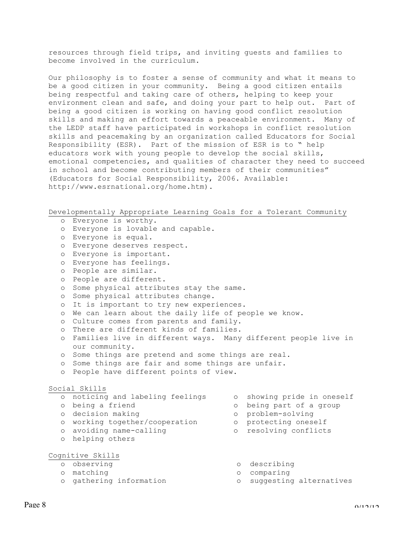resources through field trips, and inviting guests and families to become involved in the curriculum.

Our philosophy is to foster a sense of community and what it means to be a good citizen in your community. Being a good citizen entails being respectful and taking care of others, helping to keep your environment clean and safe, and doing your part to help out. Part of being a good citizen is working on having good conflict resolution skills and making an effort towards a peaceable environment. Many of the LEDP staff have participated in workshops in conflict resolution skills and peacemaking by an organization called Educators for Social Responsibility (ESR). Part of the mission of ESR is to " help educators work with young people to develop the social skills, emotional competencies, and qualities of character they need to succeed in school and become contributing members of their communities" (Educators for Social Responsibility, 2006. Available: http://www.esrnational.org/home.htm).

Developmentally Appropriate Learning Goals for a Tolerant Community

- o Everyone is worthy. o Everyone is lovable and capable. o Everyone is equal. o Everyone deserves respect. o Everyone is important. o Everyone has feelings. o People are similar. o People are different. o Some physical attributes stay the same. o Some physical attributes change. o It is important to try new experiences. o We can learn about the daily life of people we know. o Culture comes from parents and family. o There are different kinds of families. o Families live in different ways. Many different people live in our community. o Some things are pretend and some things are real. o Some things are fair and some things are unfair. o People have different points of view. Social Skills o noticing and labeling feelings ο showing pride in oneself o being a friend ο being part of a group o decision making ο problem-solving o working together/cooperation ο protecting oneself o avoiding name-calling ο resolving conflicts o helping others Cognitive Skills o observing ο describing o matching ο comparing o gathering information ο suggesting alternatives
	-
	-
	-
	-
	-
	-
	-
	-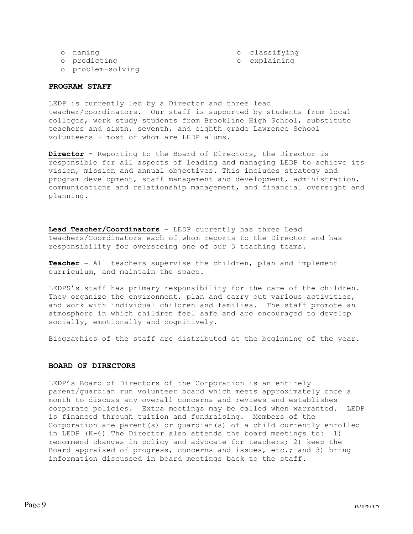| classifyino |  |  |  |  |
|-------------|--|--|--|--|
|             |  |  |  |  |

o naming o classification of classification of classification of classification of classification of classification of classification of classification of classification of classification of classification of classificatio

o predicting ο explaining

o problem-solving

# **PROGRAM STAFF**

LEDP is currently led by a Director and three lead teacher/coordinators. Our staff is supported by students from local colleges, work study students from Brookline High School, substitute teachers and sixth, seventh, and eighth grade Lawrence School volunteers – most of whom are LEDP alums.

**Director -** Reporting to the Board of Directors, the Director is responsible for all aspects of leading and managing LEDP to achieve its vision, mission and annual objectives. This includes strategy and program development, staff management and development, administration, communications and relationship management, and financial oversight and planning.

**Lead Teacher/Coordinators** – LEDP currently has three Lead Teachers/Coordinators each of whom reports to the Director and has responsibility for overseeing one of our 3 teaching teams.

**Teacher –** All teachers supervise the children, plan and implement curriculum, and maintain the space.

LEDPS's staff has primary responsibility for the care of the children. They organize the environment, plan and carry out various activities, and work with individual children and families. The staff promote an atmosphere in which children feel safe and are encouraged to develop socially, emotionally and cognitively.

Biographies of the staff are distributed at the beginning of the year.

# **BOARD OF DIRECTORS**

LEDP's Board of Directors of the Corporation is an entirely parent/guardian run volunteer board which meets approximately once a month to discuss any overall concerns and reviews and establishes corporate policies. Extra meetings may be called when warranted. LEDP is financed through tuition and fundraising. Members of the Corporation are parent(s) or guardian(s) of a child currently enrolled in LEDP (K-6) The Director also attends the board meetings to: 1) recommend changes in policy and advocate for teachers; 2) keep the Board appraised of progress, concerns and issues, etc.; and 3) bring information discussed in board meetings back to the staff.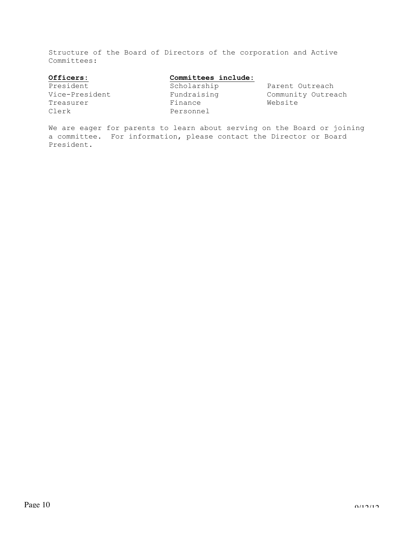Structure of the Board of Directors of the corporation and Active Committees:

# **Officers: Committees include:**

Treasurer Finance Website

Clerk Personnel

President **Scholarship** Parent Outreach Vice-President Fundraising Community Outreach

We are eager for parents to learn about serving on the Board or joining a committee. For information, please contact the Director or Board President.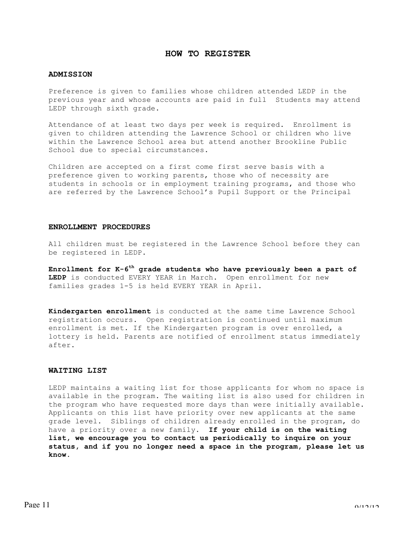# **HOW TO REGISTER**

# **ADMISSION**

Preference is given to families whose children attended LEDP in the previous year and whose accounts are paid in full Students may attend LEDP through sixth grade.

Attendance of at least two days per week is required. Enrollment is given to children attending the Lawrence School or children who live within the Lawrence School area but attend another Brookline Public School due to special circumstances.

Children are accepted on a first come first serve basis with a preference given to working parents, those who of necessity are students in schools or in employment training programs, and those who are referred by the Lawrence School's Pupil Support or the Principal

# **ENROLLMENT PROCEDURES**

All children must be registered in the Lawrence School before they can be registered in LEDP.

**Enrollment for K-6th grade students who have previously been a part of LEDP** is conducted EVERY YEAR in March. Open enrollment for new families grades 1-5 is held EVERY YEAR in April.

**Kindergarten enrollment** is conducted at the same time Lawrence School registration occurs. Open registration is continued until maximum enrollment is met. If the Kindergarten program is over enrolled, a lottery is held. Parents are notified of enrollment status immediately after.

# **WAITING LIST**

LEDP maintains a waiting list for those applicants for whom no space is available in the program. The waiting list is also used for children in the program who have requested more days than were initially available. Applicants on this list have priority over new applicants at the same grade level. Siblings of children already enrolled in the program, do have a priority over a new family. **If your child is on the waiting list, we encourage you to contact us periodically to inquire on your status, and if you no longer need a space in the program, please let us know.**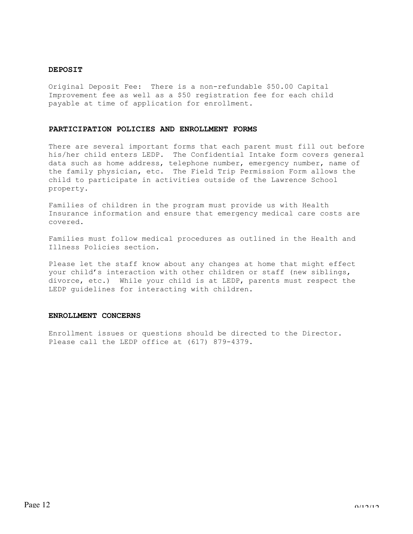# **DEPOSIT**

Original Deposit Fee: There is a non-refundable \$50.00 Capital Improvement fee as well as a \$50 registration fee for each child payable at time of application for enrollment.

#### **PARTICIPATION POLICIES AND ENROLLMENT FORMS**

There are several important forms that each parent must fill out before his/her child enters LEDP. The Confidential Intake form covers general data such as home address, telephone number, emergency number, name of the family physician, etc. The Field Trip Permission Form allows the child to participate in activities outside of the Lawrence School property.

Families of children in the program must provide us with Health Insurance information and ensure that emergency medical care costs are covered.

Families must follow medical procedures as outlined in the Health and Illness Policies section.

Please let the staff know about any changes at home that might effect your child's interaction with other children or staff (new siblings, divorce, etc.) While your child is at LEDP, parents must respect the LEDP guidelines for interacting with children.

# **ENROLLMENT CONCERNS**

Enrollment issues or questions should be directed to the Director. Please call the LEDP office at (617) 879-4379.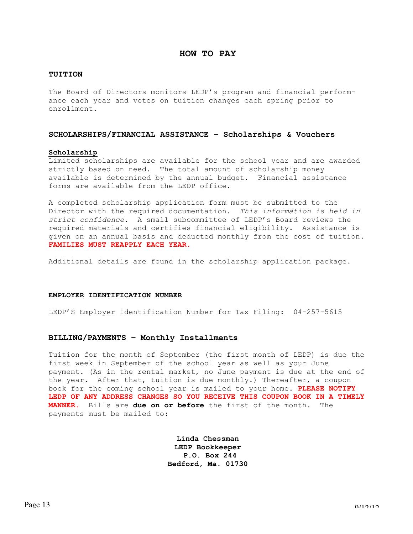# **HOW TO PAY**

# **TUITION**

The Board of Directors monitors LEDP's program and financial performance each year and votes on tuition changes each spring prior to enrollment.

# **SCHOLARSHIPS/FINANCIAL ASSISTANCE – Scholarships & Vouchers**

#### **Scholarship**

Limited scholarships are available for the school year and are awarded strictly based on need. The total amount of scholarship money available is determined by the annual budget. Financial assistance forms are available from the LEDP office.

A completed scholarship application form must be submitted to the Director with the required documentation. *This information is held in strict confidence.* A small subcommittee of LEDP's Board reviews the required materials and certifies financial eligibility. Assistance is given on an annual basis and deducted monthly from the cost of tuition. **FAMILIES MUST REAPPLY EACH YEAR.**

Additional details are found in the scholarship application package.

#### **EMPLOYER IDENTIFICATION NUMBER**

LEDP'S Employer Identification Number for Tax Filing: 04-257-5615

# **BILLING/PAYMENTS – Monthly Installments**

Tuition for the month of September (the first month of LEDP) is due the first week in September of the school year as well as your June payment. (As in the rental market, no June payment is due at the end of the year. After that, tuition is due monthly.) Thereafter, a coupon book for the coming school year is mailed to your home. **PLEASE NOTIFY LEDP OF ANY ADDRESS CHANGES SO YOU RECEIVE THIS COUPON BOOK IN A TIMELY MANNER.** Bills are **due on or before** the first of the month. The payments must be mailed to:

> **Linda Chessman LEDP Bookkeeper P.O. Box 244 Bedford, Ma. 01730**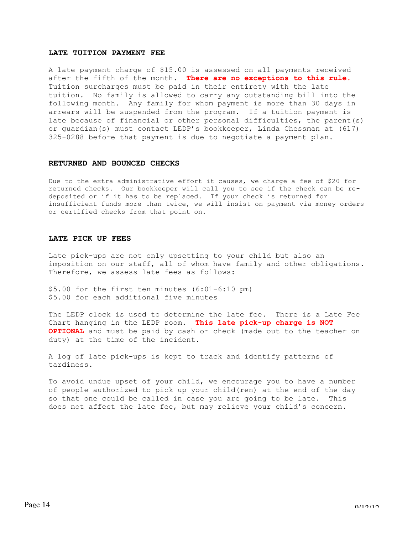# **LATE TUITION PAYMENT FEE**

A late payment charge of \$15.00 is assessed on all payments received after the fifth of the month. **There are no exceptions to this rule.** Tuition surcharges must be paid in their entirety with the late tuition. No family is allowed to carry any outstanding bill into the following month. Any family for whom payment is more than 30 days in arrears will be suspended from the program. If a tuition payment is late because of financial or other personal difficulties, the parent(s) or guardian(s) must contact LEDP's bookkeeper, Linda Chessman at (617) 325-0288 before that payment is due to negotiate a payment plan.

#### **RETURNED AND BOUNCED CHECKS**

Due to the extra administrative effort it causes, we charge a fee of \$20 for returned checks. Our bookkeeper will call you to see if the check can be redeposited or if it has to be replaced. If your check is returned for insufficient funds more than twice, we will insist on payment via money orders or certified checks from that point on.

# **LATE PICK UP FEES**

Late pick-ups are not only upsetting to your child but also an imposition on our staff, all of whom have family and other obligations. Therefore, we assess late fees as follows:

\$5.00 for the first ten minutes (6:01-6:10 pm) \$5.00 for each additional five minutes

The LEDP clock is used to determine the late fee. There is a Late Fee Chart hanging in the LEDP room. **This late pick-up charge is NOT OPTIONAL** and must be paid by cash or check (made out to the teacher on duty) at the time of the incident.

A log of late pick-ups is kept to track and identify patterns of tardiness.

To avoid undue upset of your child, we encourage you to have a number of people authorized to pick up your child(ren) at the end of the day so that one could be called in case you are going to be late. This does not affect the late fee, but may relieve your child's concern.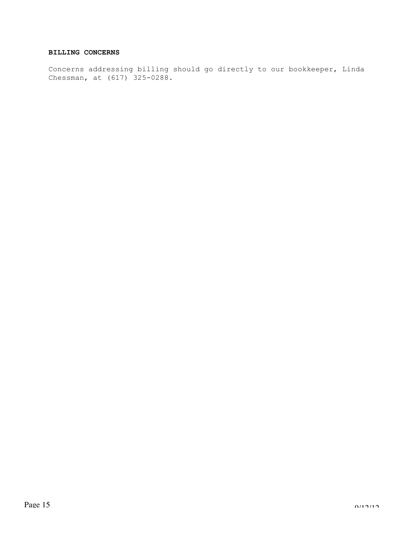# **BILLING CONCERNS**

Concerns addressing billing should go directly to our bookkeeper, Linda Chessman, at (617) 325-0288.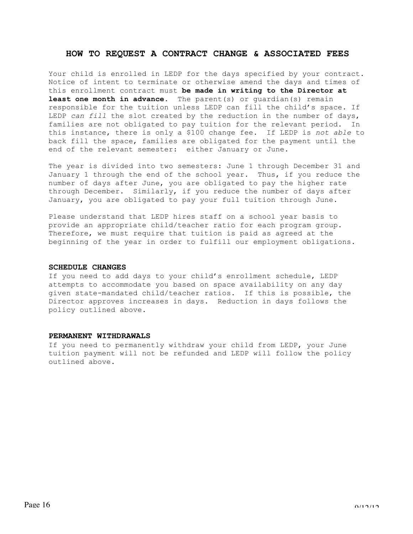# **HOW TO REQUEST A CONTRACT CHANGE & ASSOCIATED FEES**

Your child is enrolled in LEDP for the days specified by your contract. Notice of intent to terminate or otherwise amend the days and times of this enrollment contract must **be made in writing to the Director at least one month in advance**. The parent(s) or guardian(s) remain responsible for the tuition unless LEDP can fill the child's space. If LEDP *can fill* the slot created by the reduction in the number of days, families are not obligated to pay tuition for the relevant period. In this instance, there is only a \$100 change fee. If LEDP is *not able* to back fill the space, families are obligated for the payment until the end of the relevant semester: either January or June.

The year is divided into two semesters: June 1 through December 31 and January 1 through the end of the school year. Thus, if you reduce the number of days after June, you are obligated to pay the higher rate through December. Similarly, if you reduce the number of days after January, you are obligated to pay your full tuition through June.

Please understand that LEDP hires staff on a school year basis to provide an appropriate child/teacher ratio for each program group. Therefore, we must require that tuition is paid as agreed at the beginning of the year in order to fulfill our employment obligations.

# **SCHEDULE CHANGES**

If you need to add days to your child's enrollment schedule, LEDP attempts to accommodate you based on space availability on any day given state-mandated child/teacher ratios. If this is possible, the Director approves increases in days. Reduction in days follows the policy outlined above.

### **PERMANENT WITHDRAWALS**

If you need to permanently withdraw your child from LEDP, your June tuition payment will not be refunded and LEDP will follow the policy outlined above.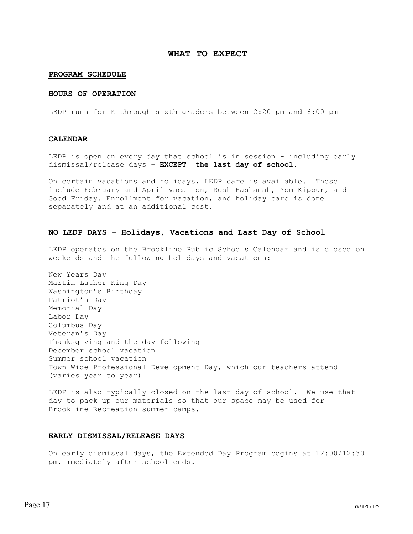# **WHAT TO EXPECT**

# **PROGRAM SCHEDULE**

### **HOURS OF OPERATION**

LEDP runs for K through sixth graders between 2:20 pm and 6:00 pm

# **CALENDAR**

LEDP is open on every day that school is in session - including early dismissal/release days – **EXCEPT the last day of school.**

On certain vacations and holidays, LEDP care is available. These include February and April vacation, Rosh Hashanah, Yom Kippur, and Good Friday. Enrollment for vacation, and holiday care is done separately and at an additional cost.

# **NO LEDP DAYS – Holidays, Vacations and Last Day of School**

LEDP operates on the Brookline Public Schools Calendar and is closed on weekends and the following holidays and vacations:

New Years Day Martin Luther King Day Washington's Birthday Patriot's Day Memorial Day Labor Day Columbus Day Veteran's Day Thanksgiving and the day following December school vacation Summer school vacation Town Wide Professional Development Day, which our teachers attend (varies year to year)

LEDP is also typically closed on the last day of school. We use that day to pack up our materials so that our space may be used for Brookline Recreation summer camps.

### **EARLY DISMISSAL/RELEASE DAYS**

On early dismissal days, the Extended Day Program begins at 12:00/12:30 pm.immediately after school ends.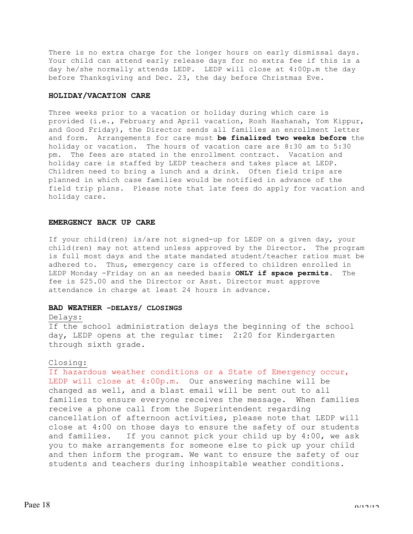There is no extra charge for the longer hours on early dismissal days. Your child can attend early release days for no extra fee if this is a day he/she normally attends LEDP. LEDP will close at 4:00p.m the day before Thanksgiving and Dec. 23, the day before Christmas Eve.

# **HOLIDAY/VACATION CARE**

Three weeks prior to a vacation or holiday during which care is provided (i.e., February and April vacation, Rosh Hashanah, Yom Kippur, and Good Friday), the Director sends all families an enrollment letter and form. Arrangements for care must **be finalized two weeks before** the holiday or vacation. The hours of vacation care are 8:30 am to 5:30 pm. The fees are stated in the enrollment contract. Vacation and holiday care is staffed by LEDP teachers and takes place at LEDP. Children need to bring a lunch and a drink. Often field trips are planned in which case families would be notified in advance of the field trip plans. Please note that late fees do apply for vacation and holiday care.

# **EMERGENCY BACK UP CARE**

If your child(ren) is/are not signed-up for LEDP on a given day, your child(ren) may not attend unless approved by the Director. The program is full most days and the state mandated student/teacher ratios must be adhered to. Thus, emergency care is offered to children enrolled in LEDP Monday -Friday on an as needed basis **ONLY if space permits**. The fee is \$25.00 and the Director or Asst. Director must approve attendance in charge at least 24 hours in advance.

# **BAD WEATHER –DELAYS/ CLOSINGS**

# Delays:

If the school administration delays the beginning of the school day, LEDP opens at the regular time: 2:20 for Kindergarten through sixth grade.

# Closing:

If hazardous weather conditions or a State of Emergency occur, LEDP will close at 4:00p.m. Our answering machine will be changed as well, and a blast email will be sent out to all families to ensure everyone receives the message. When families receive a phone call from the Superintendent regarding cancellation of afternoon activities, please note that LEDP will close at 4:00 on those days to ensure the safety of our students and families. If you cannot pick your child up by 4:00, we ask you to make arrangements for someone else to pick up your child and then inform the program. We want to ensure the safety of our students and teachers during inhospitable weather conditions.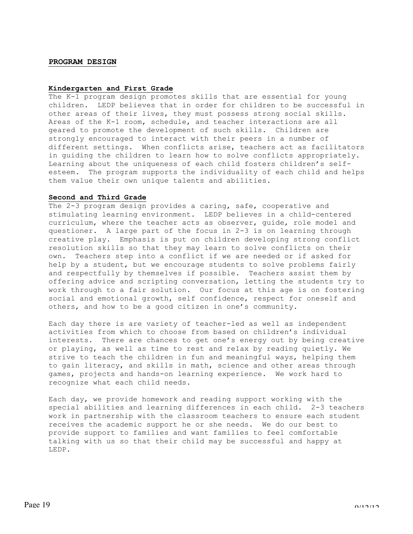# **PROGRAM DESIGN**

# **Kindergarten and First Grade**

The K-1 program design promotes skills that are essential for young children. LEDP believes that in order for children to be successful in other areas of their lives, they must possess strong social skills. Areas of the K-1 room, schedule, and teacher interactions are all geared to promote the development of such skills. Children are strongly encouraged to interact with their peers in a number of different settings. When conflicts arise, teachers act as facilitators in guiding the children to learn how to solve conflicts appropriately. Learning about the uniqueness of each child fosters children's selfesteem. The program supports the individuality of each child and helps them value their own unique talents and abilities.

#### **Second and Third Grade**

The 2-3 program design provides a caring, safe, cooperative and stimulating learning environment. LEDP believes in a child-centered curriculum, where the teacher acts as observer, guide, role model and questioner. A large part of the focus in 2-3 is on learning through creative play. Emphasis is put on children developing strong conflict resolution skills so that they may learn to solve conflicts on their own. Teachers step into a conflict if we are needed or if asked for help by a student, but we encourage students to solve problems fairly and respectfully by themselves if possible. Teachers assist them by offering advice and scripting conversation, letting the students try to work through to a fair solution. Our focus at this age is on fostering social and emotional growth, self confidence, respect for oneself and others, and how to be a good citizen in one's community.

Each day there is are variety of teacher-led as well as independent activities from which to choose from based on children's individual interests. There are chances to get one's energy out by being creative or playing, as well as time to rest and relax by reading quietly. We strive to teach the children in fun and meaningful ways, helping them to gain literacy, and skills in math, science and other areas through games, projects and hands-on learning experience. We work hard to recognize what each child needs.

Each day, we provide homework and reading support working with the special abilities and learning differences in each child. 2-3 teachers work in partnership with the classroom teachers to ensure each student receives the academic support he or she needs. We do our best to provide support to families and want families to feel comfortable talking with us so that their child may be successful and happy at LEDP.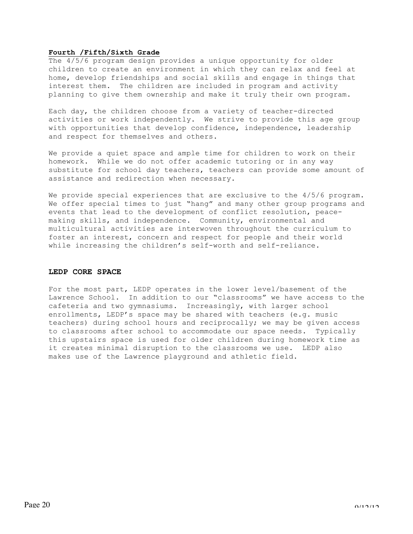# **Fourth /Fifth/Sixth Grade**

The 4/5/6 program design provides a unique opportunity for older children to create an environment in which they can relax and feel at home, develop friendships and social skills and engage in things that interest them. The children are included in program and activity planning to give them ownership and make it truly their own program.

Each day, the children choose from a variety of teacher-directed activities or work independently. We strive to provide this age group with opportunities that develop confidence, independence, leadership and respect for themselves and others.

We provide a quiet space and ample time for children to work on their homework. While we do not offer academic tutoring or in any way substitute for school day teachers, teachers can provide some amount of assistance and redirection when necessary.

We provide special experiences that are exclusive to the  $4/5/6$  program. We offer special times to just "hang" and many other group programs and events that lead to the development of conflict resolution, peacemaking skills, and independence. Community, environmental and multicultural activities are interwoven throughout the curriculum to foster an interest, concern and respect for people and their world while increasing the children's self-worth and self-reliance.

# **LEDP CORE SPACE**

For the most part, LEDP operates in the lower level/basement of the Lawrence School. In addition to our "classrooms" we have access to the cafeteria and two gymnasiums. Increasingly, with larger school enrollments, LEDP's space may be shared with teachers (e.g. music teachers) during school hours and reciprocally; we may be given access to classrooms after school to accommodate our space needs. Typically this upstairs space is used for older children during homework time as it creates minimal disruption to the classrooms we use. LEDP also makes use of the Lawrence playground and athletic field.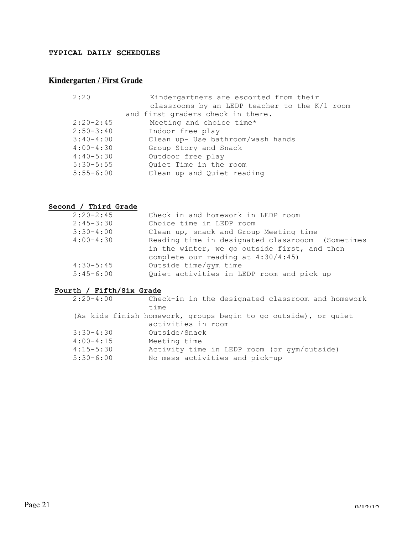# **TYPICAL DAILY SCHEDULES**

# **Kindergarten / First Grade**

| 2:20          | Kindergartners are escorted from their        |
|---------------|-----------------------------------------------|
|               | classrooms by an LEDP teacher to the K/1 room |
|               | and first graders check in there.             |
| $2:20-2:45$   | Meeting and choice time*                      |
| $2:50-3:40$   | Indoor free play                              |
| $3:40-4:00$   | Clean up- Use bathroom/wash hands             |
| $4:00-4:30$   | Group Story and Snack                         |
| $4:40-5:30$   | Outdoor free play                             |
| $5:30 - 5:55$ | Quiet Time in the room                        |
| $5:55-6:00$   | Clean up and Quiet reading                    |

# **Second / Third Grade**

| $2:20-2:45$ | Check in and homework in LEDP room               |
|-------------|--------------------------------------------------|
| $2:45-3:30$ | Choice time in LEDP room                         |
| $3:30-4:00$ | Clean up, snack and Group Meeting time           |
| $4:00-4:30$ | Reading time in designated classrooom (Sometimes |
|             | in the winter, we go outside first, and then     |
|             | complete our reading at $4:30/4:45$ )            |
| $4:30-5:45$ | Outside time/gym time                            |
| $5:45-6:00$ | Quiet activities in LEDP room and pick up        |

# **Fourth / Fifth/Six Grade**

| $2:20-4:00$                | Check-in in the designated classroom and homework<br>time                             |
|----------------------------|---------------------------------------------------------------------------------------|
|                            | (As kids finish homework, groups begin to go outside), or quiet<br>activities in room |
| $3:30-4:30$<br>$4:00-4:15$ | Outside/Snack                                                                         |
| $4:15 - 5:30$              | Meeting time<br>Activity time in LEDP room (or qym/outside)                           |
| $5:30-6:00$                | No mess activities and pick-up                                                        |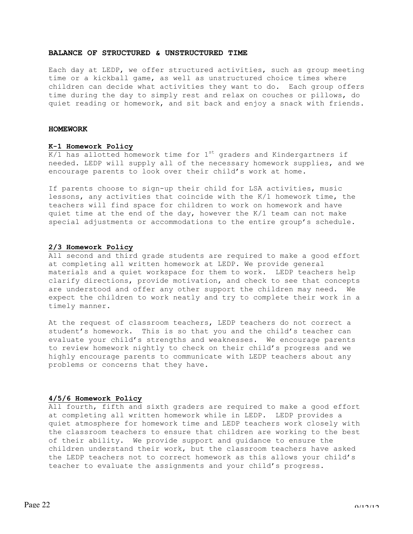# **BALANCE OF STRUCTURED & UNSTRUCTURED TIME**

Each day at LEDP, we offer structured activities, such as group meeting time or a kickball game, as well as unstructured choice times where children can decide what activities they want to do. Each group offers time during the day to simply rest and relax on couches or pillows, do quiet reading or homework, and sit back and enjoy a snack with friends.

# **HOMEWORK**

# **K-1 Homework Policy**

 $K/1$  has allotted homework time for  $1<sup>st</sup>$  graders and Kindergartners if needed. LEDP will supply all of the necessary homework supplies, and we encourage parents to look over their child's work at home.

If parents choose to sign-up their child for LSA activities, music lessons, any activities that coincide with the K/1 homework time, the teachers will find space for children to work on homework and have quiet time at the end of the day, however the K/1 team can not make special adjustments or accommodations to the entire group's schedule.

#### **2/3 Homework Policy**

All second and third grade students are required to make a good effort at completing all written homework at LEDP. We provide general materials and a quiet workspace for them to work. LEDP teachers help clarify directions, provide motivation, and check to see that concepts are understood and offer any other support the children may need. We expect the children to work neatly and try to complete their work in a timely manner.

At the request of classroom teachers, LEDP teachers do not correct a student's homework. This is so that you and the child's teacher can evaluate your child's strengths and weaknesses. We encourage parents to review homework nightly to check on their child's progress and we highly encourage parents to communicate with LEDP teachers about any problems or concerns that they have.

#### **4/5/6 Homework Policy**

All fourth, fifth and sixth graders are required to make a good effort at completing all written homework while in LEDP. LEDP provides a quiet atmosphere for homework time and LEDP teachers work closely with the classroom teachers to ensure that children are working to the best of their ability. We provide support and guidance to ensure the children understand their work, but the classroom teachers have asked the LEDP teachers not to correct homework as this allows your child's teacher to evaluate the assignments and your child's progress.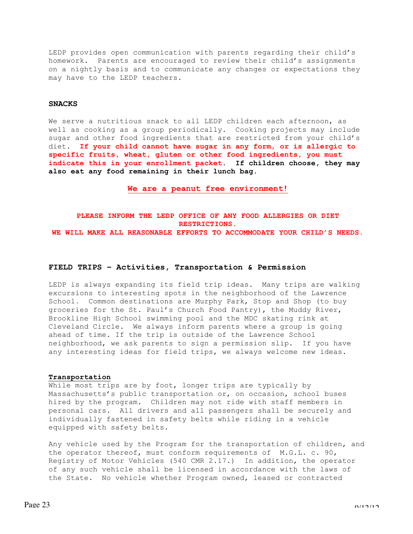LEDP provides open communication with parents regarding their child's homework. Parents are encouraged to review their child's assignments on a nightly basis and to communicate any changes or expectations they may have to the LEDP teachers.

# **SNACKS**

We serve a nutritious snack to all LEDP children each afternoon, as well as cooking as a group periodically. Cooking projects may include sugar and other food ingredients that are restricted from your child's diet. **If your child cannot have sugar in any form, or is allergic to specific fruits, wheat, gluten or other food ingredients, you must indicate this in your enrollment packet**. **If children choose, they may also eat any food remaining in their lunch bag.**

**We are a peanut free environment!**

# **PLEASE INFORM THE LEDP OFFICE OF ANY FOOD ALLERGIES OR DIET RESTRICTIONS. WE WILL MAKE ALL REASONABLE EFFORTS TO ACCOMMODATE YOUR CHILD'S NEEDS.**

# **FIELD TRIPS – Activities, Transportation & Permission**

LEDP is always expanding its field trip ideas. Many trips are walking excursions to interesting spots in the neighborhood of the Lawrence School**.** Common destinations are Murphy Park, Stop and Shop (to buy groceries for the St. Paul's Church Food Pantry), the Muddy River, Brookline High School swimming pool and the MDC skating rink at Cleveland Circle. We always inform parents where a group is going ahead of time. If the trip is outside of the Lawrence School neighborhood, we ask parents to sign a permission slip. If you have any interesting ideas for field trips, we always welcome new ideas.

#### **Transportation**

While most trips are by foot, longer trips are typically by Massachusetts's public transportation or, on occasion, school buses hired by the program. Children may not ride with staff members in personal cars. All drivers and all passengers shall be securely and individually fastened in safety belts while riding in a vehicle equipped with safety belts.

Any vehicle used by the Program for the transportation of children, and the operator thereof, must conform requirements of M.G.L. c. 90, Registry of Motor Vehicles (540 CMR 2.17.) In addition, the operator of any such vehicle shall be licensed in accordance with the laws of the State. No vehicle whether Program owned, leased or contracted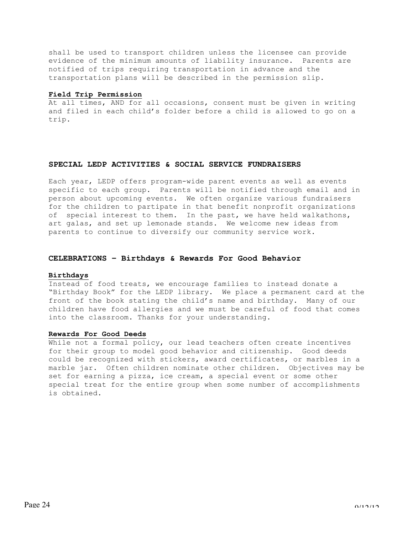shall be used to transport children unless the licensee can provide evidence of the minimum amounts of liability insurance. Parents are notified of trips requiring transportation in advance and the transportation plans will be described in the permission slip.

# **Field Trip Permission**

At all times, AND for all occasions, consent must be given in writing and filed in each child's folder before a child is allowed to go on a trip.

# **SPECIAL LEDP ACTIVITIES & SOCIAL SERVICE FUNDRAISERS**

Each year, LEDP offers program-wide parent events as well as events specific to each group. Parents will be notified through email and in person about upcoming events. We often organize various fundraisers for the children to partipate in that benefit nonprofit organizations of special interest to them. In the past, we have held walkathons, art galas, and set up lemonade stands. We welcome new ideas from parents to continue to diversify our community service work.

# **CELEBRATIONS – Birthdays & Rewards For Good Behavior**

#### **Birthdays**

Instead of food treats, we encourage families to instead donate a "Birthday Book" for the LEDP library. We place a permanent card at the front of the book stating the child's name and birthday. Many of our children have food allergies and we must be careful of food that comes into the classroom. Thanks for your understanding.

# **Rewards For Good Deeds**

While not a formal policy, our lead teachers often create incentives for their group to model good behavior and citizenship. Good deeds could be recognized with stickers, award certificates, or marbles in a marble jar. Often children nominate other children. Objectives may be set for earning a pizza, ice cream, a special event or some other special treat for the entire group when some number of accomplishments is obtained.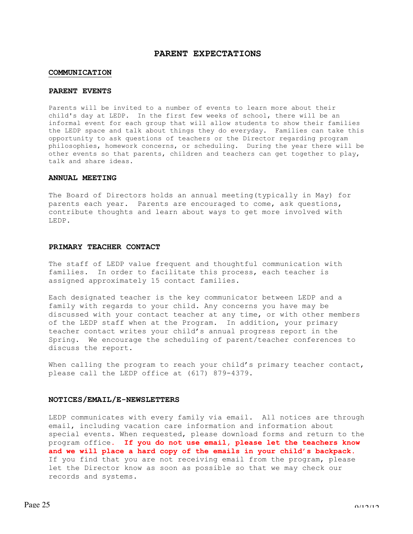# **PARENT EXPECTATIONS**

#### **COMMUNICATION**

# **PARENT EVENTS**

Parents will be invited to a number of events to learn more about their child's day at LEDP. In the first few weeks of school, there will be an informal event for each group that will allow students to show their families the LEDP space and talk about things they do everyday. Families can take this opportunity to ask questions of teachers or the Director regarding program philosophies, homework concerns, or scheduling. During the year there will be other events so that parents, children and teachers can get together to play, talk and share ideas.

# **ANNUAL MEETING**

The Board of Directors holds an annual meeting(typically in May) for parents each year. Parents are encouraged to come, ask questions, contribute thoughts and learn about ways to get more involved with LEDP.

# **PRIMARY TEACHER CONTACT**

The staff of LEDP value frequent and thoughtful communication with families. In order to facilitate this process, each teacher is assigned approximately 15 contact families.

Each designated teacher is the key communicator between LEDP and a family with regards to your child. Any concerns you have may be discussed with your contact teacher at any time, or with other members of the LEDP staff when at the Program. In addition, your primary teacher contact writes your child's annual progress report in the Spring. We encourage the scheduling of parent/teacher conferences to discuss the report.

When calling the program to reach your child's primary teacher contact, please call the LEDP office at (617) 879-4379.

#### **NOTICES/EMAIL/E-NEWSLETTERS**

LEDP communicates with every family via email. All notices are through email, including vacation care information and information about special events. When requested, please download forms and return to the program office**. If you do not use email, please let the teachers know and we will place a hard copy of the emails in your child's backpack.** If you find that you are not receiving email from the program, please let the Director know as soon as possible so that we may check our records and systems.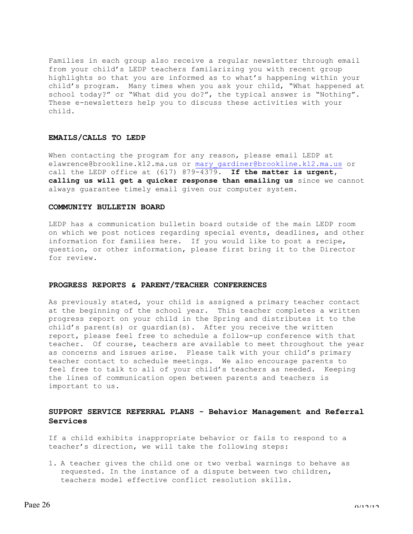Families in each group also receive a regular newsletter through email from your child's LEDP teachers familarizing you with recent group highlights so that you are informed as to what's happening within your child's program. Many times when you ask your child, "What happened at school today?" or "What did you do?", the typical answer is "Nothing". These e-newsletters help you to discuss these activities with your child.

# **EMAILS/CALLS TO LEDP**

When contacting the program for any reason, please email LEDP at elawrence@brookline.k12.ma.us or mary gardiner@brookline.k12.ma.us or call the LEDP office at (617) 879-4379**. If the matter is urgent, calling us will get a quicker response than emailing us** since we cannot always guarantee timely email given our computer system.

### **COMMUNITY BULLETIN BOARD**

LEDP has a communication bulletin board outside of the main LEDP room on which we post notices regarding special events, deadlines, and other information for families here. If you would like to post a recipe, question, or other information, please first bring it to the Director for review.

#### **PROGRESS REPORTS & PARENT/TEACHER CONFERENCES**

As previously stated, your child is assigned a primary teacher contact at the beginning of the school year. This teacher completes a written progress report on your child in the Spring and distributes it to the child's parent(s) or guardian(s). After you receive the written report, please feel free to schedule a follow-up conference with that teacher. Of course, teachers are available to meet throughout the year as concerns and issues arise. Please talk with your child's primary teacher contact to schedule meetings. We also encourage parents to feel free to talk to all of your child's teachers as needed. Keeping the lines of communication open between parents and teachers is important to us.

# **SUPPORT SERVICE REFERRAL PLANS - Behavior Management and Referral Services**

If a child exhibits inappropriate behavior or fails to respond to a teacher's direction, we will take the following steps:

1. A teacher gives the child one or two verbal warnings to behave as requested. In the instance of a dispute between two children, teachers model effective conflict resolution skills.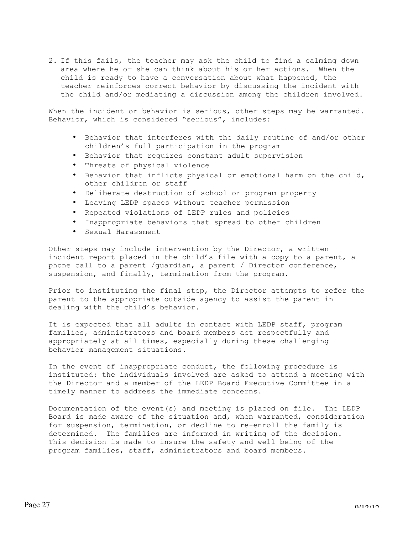2. If this fails, the teacher may ask the child to find a calming down area where he or she can think about his or her actions. When the child is ready to have a conversation about what happened, the teacher reinforces correct behavior by discussing the incident with the child and/or mediating a discussion among the children involved.

When the incident or behavior is serious, other steps may be warranted. Behavior, which is considered "serious", includes:

- Behavior that interferes with the daily routine of and/or other children's full participation in the program
- Behavior that requires constant adult supervision
- Threats of physical violence
- Behavior that inflicts physical or emotional harm on the child, other children or staff
- Deliberate destruction of school or program property
- Leaving LEDP spaces without teacher permission
- Repeated violations of LEDP rules and policies
- Inappropriate behaviors that spread to other children
- Sexual Harassment

Other steps may include intervention by the Director, a written incident report placed in the child's file with a copy to a parent, a phone call to a parent /guardian, a parent / Director conference, suspension, and finally, termination from the program.

Prior to instituting the final step, the Director attempts to refer the parent to the appropriate outside agency to assist the parent in dealing with the child's behavior.

It is expected that all adults in contact with LEDP staff, program families, administrators and board members act respectfully and appropriately at all times, especially during these challenging behavior management situations.

In the event of inappropriate conduct, the following procedure is instituted: the individuals involved are asked to attend a meeting with the Director and a member of the LEDP Board Executive Committee in a timely manner to address the immediate concerns.

Documentation of the event(s) and meeting is placed on file. The LEDP Board is made aware of the situation and, when warranted, consideration for suspension, termination, or decline to re-enroll the family is determined. The families are informed in writing of the decision. This decision is made to insure the safety and well being of the program families, staff, administrators and board members.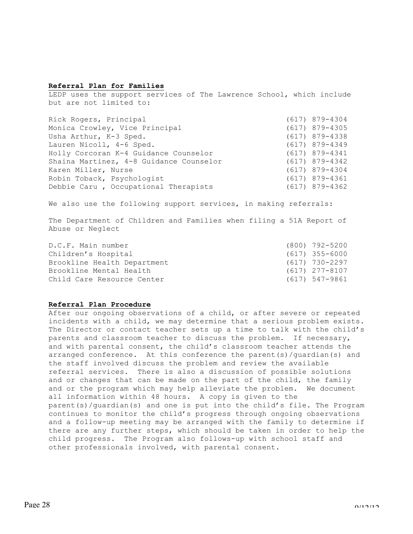# **Referral Plan for Families**

LEDP uses the support services of The Lawrence School, which include but are not limited to:

| Rick Rogers, Principal                  | $(617)$ 879-4304 |
|-----------------------------------------|------------------|
| Monica Crowley, Vice Principal          | $(617)$ 879-4305 |
| Usha Arthur, K-3 Sped.                  | $(617)$ 879-4338 |
| Lauren Nicoll, 4-6 Sped.                | $(617)$ 879-4349 |
| Holly Corcoran K-4 Guidance Counselor   | $(617)$ 879-4341 |
| Shaina Martinez, 4-8 Guidance Counselor | $(617)$ 879-4342 |
| Karen Miller, Nurse                     | $(617)$ 879-4304 |
| Robin Toback, Psychologist              | $(617)$ 879-4361 |
| Debbie Caru, Occupational Therapists    | $(617)$ 879-4362 |

We also use the following support services, in making referrals:

The Department of Children and Families when filing a 51A Report of Abuse or Neglect

| D.C.F. Main number          | (800) 792-5200   |
|-----------------------------|------------------|
| Children's Hospital         | $(617)$ 355-6000 |
| Brookline Health Department | (617) 730-2297   |
| Brookline Mental Health     | $(617)$ 277-8107 |
| Child Care Resource Center  | (617) 547-9861   |

# **Referral Plan Procedure**

After our ongoing observations of a child, or after severe or repeated incidents with a child, we may determine that a serious problem exists. The Director or contact teacher sets up a time to talk with the child's parents and classroom teacher to discuss the problem. If necessary, and with parental consent, the child's classroom teacher attends the arranged conference. At this conference the parent(s)/guardian(s) and the staff involved discuss the problem and review the available referral services. There is also a discussion of possible solutions and or changes that can be made on the part of the child, the family and or the program which may help alleviate the problem. We document all information within 48 hours. A copy is given to the parent(s)/guardian(s) and one is put into the child's file. The Program continues to monitor the child's progress through ongoing observations and a follow-up meeting may be arranged with the family to determine if there are any further steps, which should be taken in order to help the child progress. The Program also follows-up with school staff and other professionals involved, with parental consent.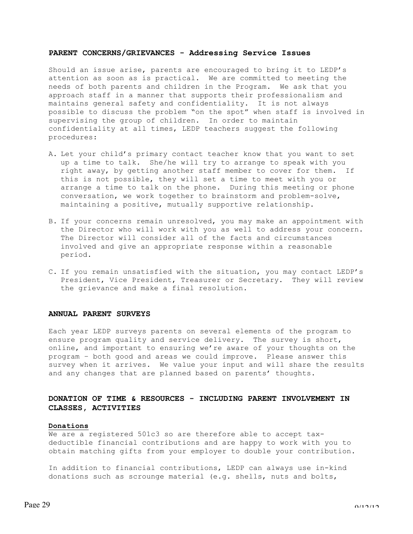# **PARENT CONCERNS/GRIEVANCES - Addressing Service Issues**

Should an issue arise, parents are encouraged to bring it to LEDP's attention as soon as is practical. We are committed to meeting the needs of both parents and children in the Program. We ask that you approach staff in a manner that supports their professionalism and maintains general safety and confidentiality. It is not always possible to discuss the problem "on the spot" when staff is involved in supervising the group of children. In order to maintain confidentiality at all times, LEDP teachers suggest the following procedures:

- A. Let your child's primary contact teacher know that you want to set up a time to talk. She/he will try to arrange to speak with you right away, by getting another staff member to cover for them. If this is not possible, they will set a time to meet with you or arrange a time to talk on the phone. During this meeting or phone conversation, we work together to brainstorm and problem-solve, maintaining a positive, mutually supportive relationship.
- B. If your concerns remain unresolved, you may make an appointment with the Director who will work with you as well to address your concern. The Director will consider all of the facts and circumstances involved and give an appropriate response within a reasonable period.
- C. If you remain unsatisfied with the situation, you may contact LEDP's President, Vice President, Treasurer or Secretary. They will review the grievance and make a final resolution.

#### **ANNUAL PARENT SURVEYS**

Each year LEDP surveys parents on several elements of the program to ensure program quality and service delivery. The survey is short, online, and important to ensuring we're aware of your thoughts on the program – both good and areas we could improve. Please answer this survey when it arrives. We value your input and will share the results and any changes that are planned based on parents' thoughts.

# **DONATION OF TIME & RESOURCES - INCLUDING PARENT INVOLVEMENT IN CLASSES, ACTIVITIES**

# **Donations**

We are a registered 501c3 so are therefore able to accept taxdeductible financial contributions and are happy to work with you to obtain matching gifts from your employer to double your contribution.

In addition to financial contributions, LEDP can always use in-kind donations such as scrounge material (e.g. shells, nuts and bolts,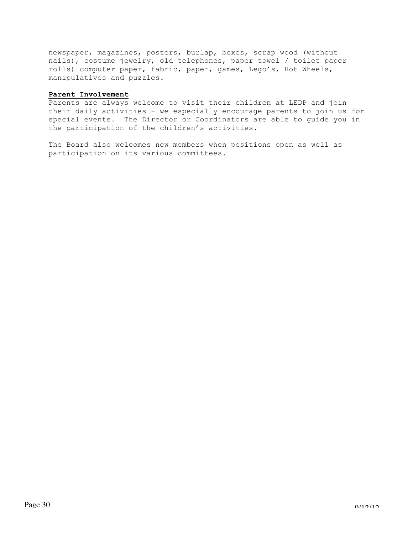newspaper, magazines, posters, burlap, boxes, scrap wood (without nails), costume jewelry, old telephones, paper towel / toilet paper rolls) computer paper, fabric, paper, games, Lego's, Hot Wheels, manipulatives and puzzles.

# **Parent Involvement**

Parents are always welcome to visit their children at LEDP and join their daily activities - we especially encourage parents to join us for special events. The Director or Coordinators are able to guide you in the participation of the children's activities.

The Board also welcomes new members when positions open as well as participation on its various committees.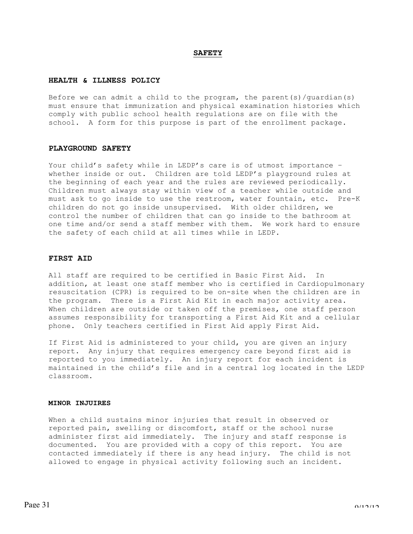#### **SAFETY**

#### **HEALTH & ILLNESS POLICY**

Before we can admit a child to the program, the parent(s)/quardian(s) must ensure that immunization and physical examination histories which comply with public school health regulations are on file with the school. A form for this purpose is part of the enrollment package.

# **PLAYGROUND SAFETY**

Your child's safety while in LEDP's care is of utmost importance – whether inside or out. Children are told LEDP's playground rules at the beginning of each year and the rules are reviewed periodically. Children must always stay within view of a teacher while outside and must ask to go inside to use the restroom, water fountain, etc. Pre-K children do not go inside unsupervised. With older children, we control the number of children that can go inside to the bathroom at one time and/or send a staff member with them. We work hard to ensure the safety of each child at all times while in LEDP.

# **FIRST AID**

All staff are required to be certified in Basic First Aid. In addition, at least one staff member who is certified in Cardiopulmonary resuscitation (CPR) is required to be on-site when the children are in the program. There is a First Aid Kit in each major activity area. When children are outside or taken off the premises, one staff person assumes responsibility for transporting a First Aid Kit and a cellular phone. Only teachers certified in First Aid apply First Aid.

If First Aid is administered to your child, you are given an injury report. Any injury that requires emergency care beyond first aid is reported to you immediately. An injury report for each incident is maintained in the child's file and in a central log located in the LEDP classroom.

### **MINOR INJUIRES**

When a child sustains minor injuries that result in observed or reported pain, swelling or discomfort, staff or the school nurse administer first aid immediately. The injury and staff response is documented. You are provided with a copy of this report. You are contacted immediately if there is any head injury. The child is not allowed to engage in physical activity following such an incident.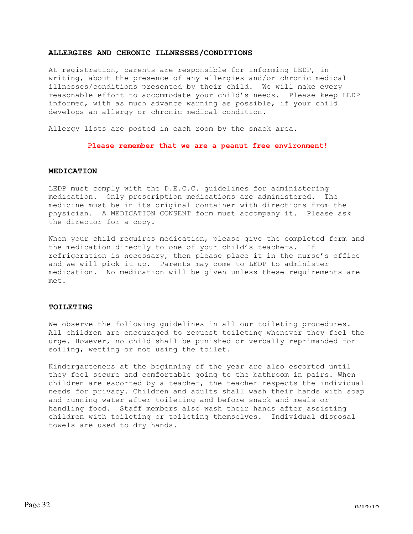# **ALLERGIES AND CHRONIC ILLNESSES/CONDITIONS**

At registration, parents are responsible for informing LEDP, in writing, about the presence of any allergies and/or chronic medical illnesses/conditions presented by their child. We will make every reasonable effort to accommodate your child's needs. Please keep LEDP informed, with as much advance warning as possible, if your child develops an allergy or chronic medical condition.

Allergy lists are posted in each room by the snack area.

# **Please remember that we are a peanut free environment!**

# **MEDICATION**

LEDP must comply with the D.E.C.C. guidelines for administering medication. Only prescription medications are administered. The medicine must be in its original container with directions from the physician. A MEDICATION CONSENT form must accompany it. Please ask the director for a copy.

When your child requires medication, please give the completed form and the medication directly to one of your child's teachers. If refrigeration is necessary, then please place it in the nurse's office and we will pick it up. Parents may come to LEDP to administer medication. No medication will be given unless these requirements are met.

# **TOILETING**

We observe the following guidelines in all our toileting procedures. All children are encouraged to request toileting whenever they feel the urge. However, no child shall be punished or verbally reprimanded for soiling, wetting or not using the toilet.

Kindergarteners at the beginning of the year are also escorted until they feel secure and comfortable going to the bathroom in pairs. When children are escorted by a teacher, the teacher respects the individual needs for privacy. Children and adults shall wash their hands with soap and running water after toileting and before snack and meals or handling food. Staff members also wash their hands after assisting children with toileting or toileting themselves. Individual disposal towels are used to dry hands.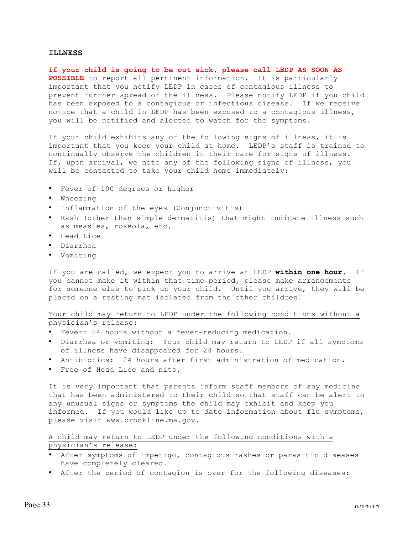# **ILLNESS**

**If your child is going to be out sick, please call LEDP AS SOON AS POSSIBLE** to report all pertinent information. It is particularly important that you notify LEDP in cases of contagious illness to prevent further spread of the illness. Please notify LEDP if you child has been exposed to a contagious or infectious disease. If we receive notice that a child in LEDP has been exposed to a contagious illness, you will be notified and alerted to watch for the symptoms.

If your child exhibits any of the following signs of illness, it is important that you keep your child at home. LEDP's staff is trained to continually observe the children in their care for signs of illness. If, upon arrival, we note any of the following signs of illness, you will be contacted to take your child home immediately:

- Fever of 100 degrees or higher
- Wheezing
- Inflammation of the eyes (Conjunctivitis)
- Rash (other than simple dermatitis) that might indicate illness such as measles, roseola, etc.
- Head Lice
- Diarrhea
- Vomiting

If you are called, we expect you to arrive at LEDP **within one hour**. If you cannot make it within that time period, please make arrangements for someone else to pick up your child. Until you arrive, they will be placed on a resting mat isolated from the other children.

Your child may return to LEDP under the following conditions without a physician's release:

- Fever: 24 hours without a fever-reducing medication.
- Diarrhea or vomiting: Your child may return to LEDP if all symptoms of illness have disappeared for 24 hours.
- Antibiotics: 24 hours after first administration of medication.
- Free of Head Lice and nits.

It is very important that parents inform staff members of any medicine that has been administered to their child so that staff can be alert to any unusual signs or symptoms the child may exhibit and keep you informed. If you would like up to date information about flu symptoms, please visit www.brookline.ma.gov.

# A child may return to LEDP under the following conditions with a physician's release:

- After symptoms of impetigo, contagious rashes or parasitic diseases have completely cleared.
- After the period of contagion is over for the following diseases: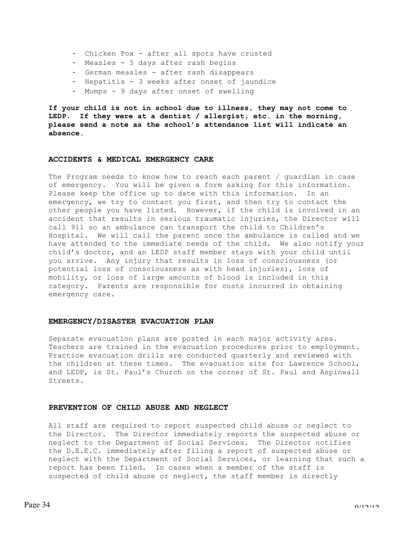- Chicken Pox after all spots have crusted
- Measles 5 days after rash begins
- German measles after rash disappears
- Hepatitis 3 weeks after onset of jaundice
- Mumps 9 days after onset of swelling

**If your child is not in school due to illness, they may not come to LEDP. If they were at a dentist / allergist, etc. in the morning, please send a note as the school's attendance list will indicate an absence.**

# **ACCIDENTS & MEDICAL EMERGENCY CARE**

The Program needs to know how to reach each parent / guardian in case of emergency. You will be given a form asking for this information. Please keep the office up to date with this information. In an emergency, we try to contact you first, and then try to contact the other people you have listed. However, if the child is involved in an accident that results in serious traumatic injuries, the Director will call 911 so an ambulance can transport the child to Children's Hospital. We will call the parent once the ambulance is called and we have attended to the immediate needs of the child. We also notify your child's doctor, and an LEDP staff member stays with your child until you arrive. Any injury that results in loss of consciousness (or potential loss of consciousness as with head injuries), loss of mobility, or loss of large amounts of blood is included in this category. Parents are responsible for costs incurred in obtaining emergency care.

# **EMERGENCY/DISASTER EVACUATION PLAN**

Separate evacuation plans are posted in each major activity area. Teachers are trained in the evacuation procedures prior to employment. Practice evacuation drills are conducted quarterly and reviewed with the children at these times. The evacuation site for Lawrence School, and LEDP, is St. Paul's Church on the corner of St. Paul and Aspinwall Streets.

# **PREVENTION OF CHILD ABUSE AND NEGLECT**

All staff are required to report suspected child abuse or neglect to the Director. The Director immediately reports the suspected abuse or neglect to the Department of Social Services. The Director notifies the D.E.E.C. immediately after filing a report of suspected abuse or neglect with the Department of Social Services, or learning that such a report has been filed. In cases when a member of the staff is suspected of child abuse or neglect, the staff member is directly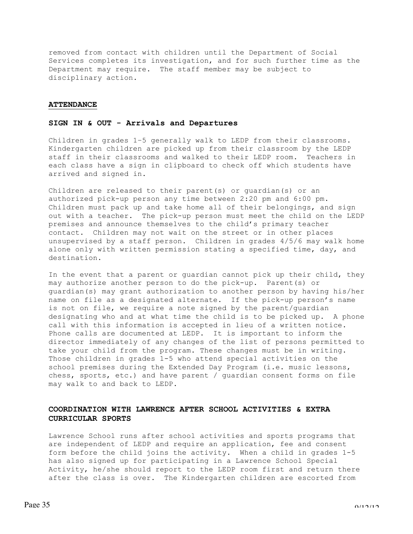removed from contact with children until the Department of Social Services completes its investigation, and for such further time as the Department may require. The staff member may be subject to disciplinary action.

#### **ATTENDANCE**

# **SIGN IN & OUT - Arrivals and Departures**

Children in grades 1–5 generally walk to LEDP from their classrooms. Kindergarten children are picked up from their classroom by the LEDP staff in their classrooms and walked to their LEDP room. Teachers in each class have a sign in clipboard to check off which students have arrived and signed in.

Children are released to their parent(s) or guardian(s) or an authorized pick-up person any time between 2:20 pm and 6:00 pm. Children must pack up and take home all of their belongings, and sign out with a teacher. The pick-up person must meet the child on the LEDP premises and announce themselves to the child's primary teacher contact. Children may not wait on the street or in other places unsupervised by a staff person. Children in grades 4/5/6 may walk home alone only with written permission stating a specified time, day, and destination.

In the event that a parent or guardian cannot pick up their child, they may authorize another person to do the pick-up. Parent(s) or guardian(s) may grant authorization to another person by having his/her name on file as a designated alternate. If the pick-up person's name is not on file, we require a note signed by the parent/guardian designating who and at what time the child is to be picked up. A phone call with this information is accepted in lieu of a written notice. Phone calls are documented at LEDP. It is important to inform the director immediately of any changes of the list of persons permitted to take your child from the program. These changes must be in writing. Those children in grades 1-5 who attend special activities on the school premises during the Extended Day Program (i.e. music lessons, chess, sports, etc.) and have parent / guardian consent forms on file may walk to and back to LEDP.

# **COORDINATION WITH LAWRENCE AFTER SCHOOL ACTIVITIES & EXTRA CURRICULAR SPORTS**

Lawrence School runs after school activities and sports programs that are independent of LEDP and require an application, fee and consent form before the child joins the activity. When a child in grades 1-5 has also signed up for participating in a Lawrence School Special Activity, he/she should report to the LEDP room first and return there after the class is over. The Kindergarten children are escorted from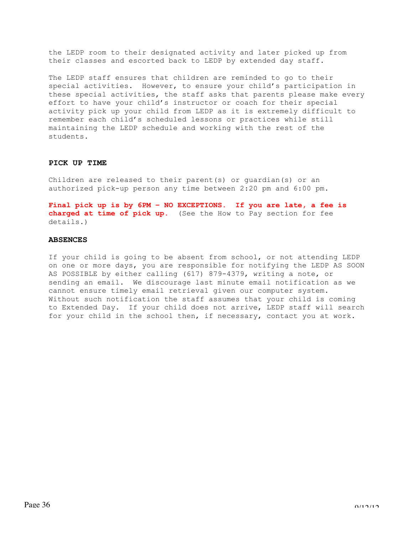the LEDP room to their designated activity and later picked up from their classes and escorted back to LEDP by extended day staff.

The LEDP staff ensures that children are reminded to go to their special activities. However, to ensure your child's participation in these special activities, the staff asks that parents please make every effort to have your child's instructor or coach for their special activity pick up your child from LEDP as it is extremely difficult to remember each child's scheduled lessons or practices while still maintaining the LEDP schedule and working with the rest of the students.

# **PICK UP TIME**

Children are released to their parent(s) or guardian(s) or an authorized pick-up person any time between 2:20 pm and 6:00 pm.

**Final pick up is by 6PM – NO EXCEPTIONS. If you are late, a fee is charged at time of pick up.** (See the How to Pay section for fee details.)

# **ABSENCES**

If your child is going to be absent from school, or not attending LEDP on one or more days, you are responsible for notifying the LEDP AS SOON AS POSSIBLE by either calling (617) 879-4379, writing a note, or sending an email. We discourage last minute email notification as we cannot ensure timely email retrieval given our computer system. Without such notification the staff assumes that your child is coming to Extended Day. If your child does not arrive, LEDP staff will search for your child in the school then, if necessary, contact you at work.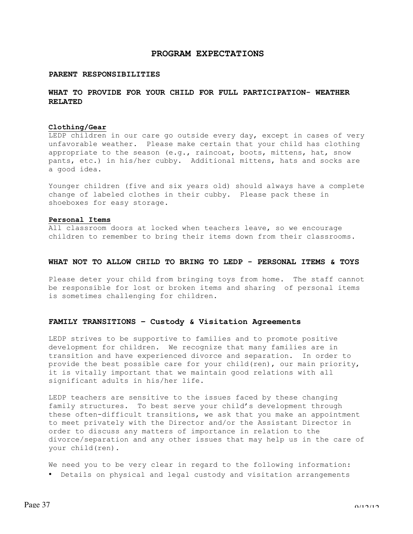# **PROGRAM EXPECTATIONS**

# **PARENT RESPONSIBILITIES**

# **WHAT TO PROVIDE FOR YOUR CHILD FOR FULL PARTICIPATION- WEATHER RELATED**

#### **Clothing/Gear**

LEDP children in our care go outside every day, except in cases of very unfavorable weather. Please make certain that your child has clothing appropriate to the season (e.g., raincoat, boots, mittens, hat, snow pants, etc.) in his/her cubby. Additional mittens, hats and socks are a good idea.

Younger children (five and six years old) should always have a complete change of labeled clothes in their cubby. Please pack these in shoeboxes for easy storage.

# **Personal Items**

All classroom doors at locked when teachers leave, so we encourage children to remember to bring their items down from their classrooms.

# **WHAT NOT TO ALLOW CHILD TO BRING TO LEDP - PERSONAL ITEMS & TOYS**

Please deter your child from bringing toys from home. The staff cannot be responsible for lost or broken items and sharing of personal items is sometimes challenging for children.

# **FAMILY TRANSITIONS – Custody & Visitation Agreements**

LEDP strives to be supportive to families and to promote positive development for children. We recognize that many families are in transition and have experienced divorce and separation. In order to provide the best possible care for your child(ren), our main priority, it is vitally important that we maintain good relations with all significant adults in his/her life.

LEDP teachers are sensitive to the issues faced by these changing family structures. To best serve your child's development through these often-difficult transitions, we ask that you make an appointment to meet privately with the Director and/or the Assistant Director in order to discuss any matters of importance in relation to the divorce/separation and any other issues that may help us in the care of your child(ren).

We need you to be very clear in regard to the following information: • Details on physical and legal custody and visitation arrangements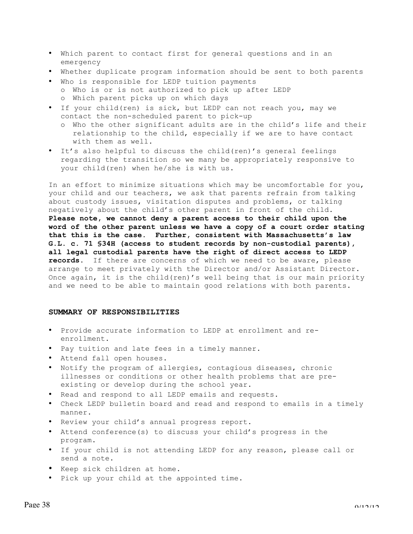- Which parent to contact first for general questions and in an emergency
- Whether duplicate program information should be sent to both parents
- Who is responsible for LEDP tuition payments
	- o Who is or is not authorized to pick up after LEDP
	- o Which parent picks up on which days
- If your child(ren) is sick, but LEDP can not reach you, may we contact the non-scheduled parent to pick-up
	- o Who the other significant adults are in the child's life and their relationship to the child, especially if we are to have contact with them as well.
- It's also helpful to discuss the child(ren)'s general feelings regarding the transition so we many be appropriately responsive to your child(ren) when he/she is with us.

In an effort to minimize situations which may be uncomfortable for you, your child and our teachers, we ask that parents refrain from talking about custody issues, visitation disputes and problems, or talking negatively about the child's other parent in front of the child. **Please note, we cannot deny a parent access to their child upon the word of the other parent unless we have a copy of a court order stating that this is the case. Further, consistent with Massachusetts's law G.L. c. 71 §34H (access to student records by non-custodial parents), all legal custodial parents have the right of direct access to LEDP records.** If there are concerns of which we need to be aware, please arrange to meet privately with the Director and/or Assistant Director. Once again, it is the child(ren)'s well being that is our main priority and we need to be able to maintain good relations with both parents.

# **SUMMARY OF RESPONSIBILITIES**

- Provide accurate information to LEDP at enrollment and reenrollment.
- Pay tuition and late fees in a timely manner.
- Attend fall open houses.
- Notify the program of allergies, contagious diseases, chronic illnesses or conditions or other health problems that are preexisting or develop during the school year.
- Read and respond to all LEDP emails and requests.
- Check LEDP bulletin board and read and respond to emails in a timely manner.
- Review your child's annual progress report.
- Attend conference(s) to discuss your child's progress in the program.
- If your child is not attending LEDP for any reason, please call or send a note.
- Keep sick children at home.
- Pick up your child at the appointed time.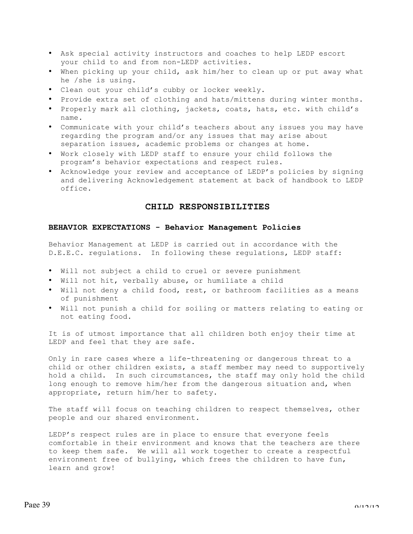- Ask special activity instructors and coaches to help LEDP escort your child to and from non-LEDP activities.
- When picking up your child, ask him/her to clean up or put away what he /she is using.
- Clean out your child's cubby or locker weekly.
- Provide extra set of clothing and hats/mittens during winter months.
- Properly mark all clothing, jackets, coats, hats, etc. with child's name.
- Communicate with your child's teachers about any issues you may have regarding the program and/or any issues that may arise about separation issues, academic problems or changes at home.
- Work closely with LEDP staff to ensure your child follows the program's behavior expectations and respect rules.
- Acknowledge your review and acceptance of LEDP's policies by signing and delivering Acknowledgement statement at back of handbook to LEDP office.

# **CHILD RESPONSIBILITIES**

# **BEHAVIOR EXPECTATIONS - Behavior Management Policies**

Behavior Management at LEDP is carried out in accordance with the D.E.E.C. regulations. In following these regulations, LEDP staff:

- Will not subject a child to cruel or severe punishment
- Will not hit, verbally abuse, or humiliate a child
- Will not deny a child food, rest, or bathroom facilities as a means of punishment
- Will not punish a child for soiling or matters relating to eating or not eating food.

It is of utmost importance that all children both enjoy their time at LEDP and feel that they are safe.

Only in rare cases where a life-threatening or dangerous threat to a child or other children exists, a staff member may need to supportively hold a child. In such circumstances, the staff may only hold the child long enough to remove him/her from the dangerous situation and, when appropriate, return him/her to safety.

The staff will focus on teaching children to respect themselves, other people and our shared environment.

LEDP's respect rules are in place to ensure that everyone feels comfortable in their environment and knows that the teachers are there to keep them safe. We will all work together to create a respectful environment free of bullying, which frees the children to have fun, learn and grow!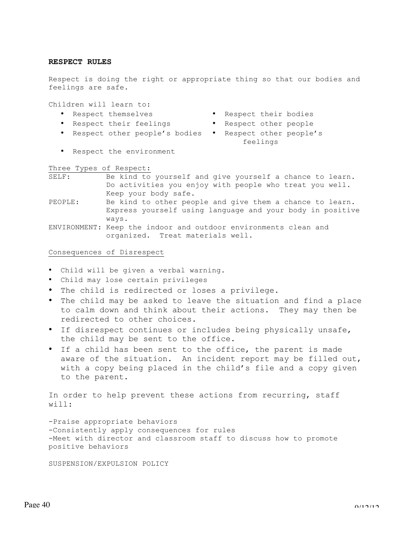# **RESPECT RULES**

Respect is doing the right or appropriate thing so that our bodies and feelings are safe.

Children will learn to:

- 
- 
- Respect themselves Respect their bodies
- Respect their feelings Respect other people
- Respect other people's bodies Respect other people's
	- feelings

• Respect the environment

Three Types of Respect:

| SELF:   | Be kind to yourself and give yourself a chance to learn. |
|---------|----------------------------------------------------------|
|         | Do activities you enjoy with people who treat you well.  |
|         | Keep your body safe.                                     |
| PEOPLE: | Be kind to other people and give them a chance to learn. |

Express yourself using language and your body in positive ways.

ENVIRONMENT: Keep the indoor and outdoor environments clean and organized. Treat materials well.

# Consequences of Disrespect

- Child will be given a verbal warning.
- Child may lose certain privileges
- The child is redirected or loses a privilege.
- The child may be asked to leave the situation and find a place to calm down and think about their actions. They may then be redirected to other choices.
- If disrespect continues or includes being physically unsafe, the child may be sent to the office.
- If a child has been sent to the office, the parent is made aware of the situation. An incident report may be filled out, with a copy being placed in the child's file and a copy given to the parent.

In order to help prevent these actions from recurring, staff will:

-Praise appropriate behaviors -Consistently apply consequences for rules -Meet with director and classroom staff to discuss how to promote positive behaviors

SUSPENSION/EXPULSION POLICY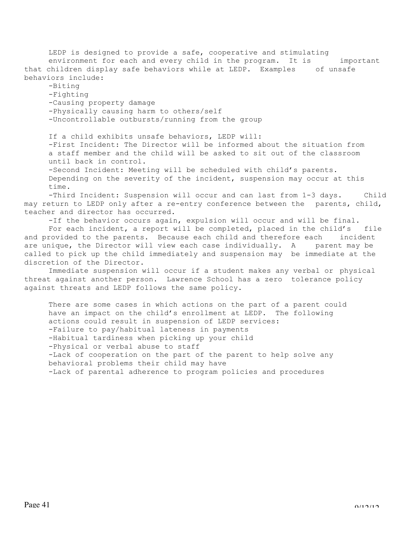LEDP is designed to provide a safe, cooperative and stimulating environment for each and every child in the program. It is important that children display safe behaviors while at LEDP. Examples of unsafe behaviors include:

-Biting -Fighting -Causing property damage -Physically causing harm to others/self -Uncontrollable outbursts/running from the group

If a child exhibits unsafe behaviors, LEDP will: -First Incident: The Director will be informed about the situation from a staff member and the child will be asked to sit out of the classroom until back in control.

-Second Incident: Meeting will be scheduled with child's parents. Depending on the severity of the incident, suspension may occur at this time.

-Third Incident: Suspension will occur and can last from 1-3 days. Child may return to LEDP only after a re-entry conference between the parents, child, teacher and director has occurred.

-If the behavior occurs again, expulsion will occur and will be final.

For each incident, a report will be completed, placed in the child's file and provided to the parents. Because each child and therefore each incident are unique, the Director will view each case individually. A parent may be called to pick up the child immediately and suspension may be immediate at the discretion of the Director.

Immediate suspension will occur if a student makes any verbal or physical threat against another person. Lawrence School has a zero tolerance policy against threats and LEDP follows the same policy.

There are some cases in which actions on the part of a parent could have an impact on the child's enrollment at LEDP. The following actions could result in suspension of LEDP services: -Failure to pay/habitual lateness in payments -Habitual tardiness when picking up your child -Physical or verbal abuse to staff -Lack of cooperation on the part of the parent to help solve any behavioral problems their child may have -Lack of parental adherence to program policies and procedures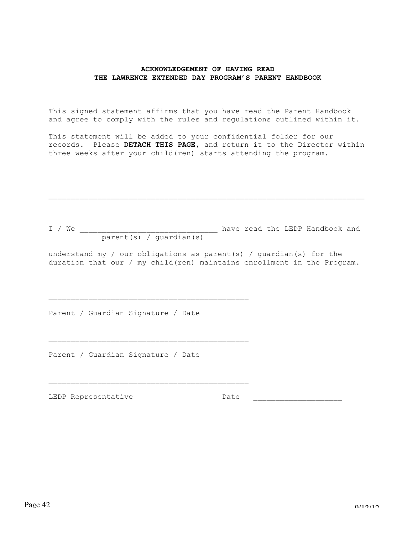# **ACKNOWLEDGEMENT OF HAVING READ THE LAWRENCE EXTENDED DAY PROGRAM'S PARENT HANDBOOK**

This signed statement affirms that you have read the Parent Handbook and agree to comply with the rules and regulations outlined within it.

This statement will be added to your confidential folder for our records. Please **DETACH THIS PAGE,** and return it to the Director within three weeks after your child(ren) starts attending the program.

I / We \_\_\_\_\_\_\_\_\_\_\_\_\_\_\_\_\_\_\_\_\_\_\_\_\_\_\_\_\_\_\_ have read the LEDP Handbook and parent(s) / guardian(s)

 $\_$  , and the contribution of the contribution of  $\mathcal{L}_\mathcal{A}$  , and the contribution of  $\mathcal{L}_\mathcal{A}$ 

understand my / our obligations as parent(s) / guardian(s) for the duration that our / my child(ren) maintains enrollment in the Program.

Parent / Guardian Signature / Date

\_\_\_\_\_\_\_\_\_\_\_\_\_\_\_\_\_\_\_\_\_\_\_\_\_\_\_\_\_\_\_\_\_\_\_\_\_\_\_\_\_\_\_\_\_

\_\_\_\_\_\_\_\_\_\_\_\_\_\_\_\_\_\_\_\_\_\_\_\_\_\_\_\_\_\_\_\_\_\_\_\_\_\_\_\_\_\_\_\_\_

Parent / Guardian Signature / Date

LEDP Representative Date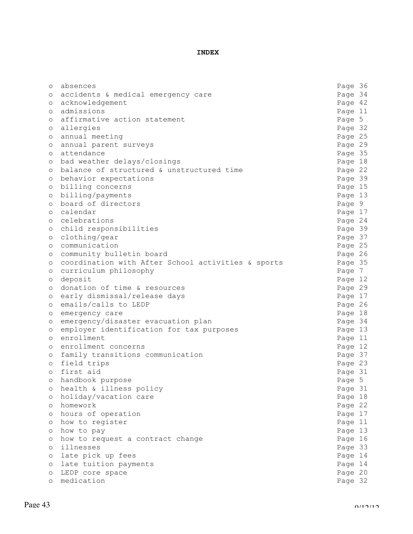# **INDEX**

| $\circ$ | absences                                           | Page 36 |  |
|---------|----------------------------------------------------|---------|--|
| $\circ$ | accidents & medical emergency care                 | Page 34 |  |
| $\circ$ | acknowledgement                                    | Page 42 |  |
| $\circ$ | admissions                                         | Page 11 |  |
| $\circ$ | affirmative action statement                       | Page 5  |  |
| $\circ$ | allergies                                          | Page 32 |  |
| $\circ$ | annual meeting                                     | Page 25 |  |
| $\circ$ | annual parent surveys                              | Page 29 |  |
| O       | attendance                                         | Page 35 |  |
| O       | bad weather delays/closings                        | Page 18 |  |
| $\circ$ | balance of structured & unstructured time          | Page 22 |  |
| $\circ$ | behavior expectations                              | Page 39 |  |
| $\circ$ | billing concerns                                   | Page 15 |  |
| O       | billing/payments                                   | Page 13 |  |
| $\circ$ | board of directors                                 | Page 9  |  |
| $\circ$ | calendar                                           | Page 17 |  |
| $\circ$ | celebrations                                       | Page 24 |  |
| O       | child responsibilities                             | Page 39 |  |
| $\circ$ | clothing/gear                                      | Page 37 |  |
| $\circ$ | communication                                      | Page 25 |  |
| O       | community bulletin board                           | Page 26 |  |
| O       | coordination with After School activities & sports | Page 35 |  |
| O       | curriculum philosophy                              | Page 7  |  |
| O       | deposit                                            | Page 12 |  |
| O       | donation of time & resources                       | Page 29 |  |
| O       | early dismissal/release days                       | Page 17 |  |
| $\circ$ | emails/calls to LEDP                               | Page 26 |  |
|         | emergency care                                     | Page 18 |  |
| O<br>O  | emergency/disaster evacuation plan                 | Page 34 |  |
| $\circ$ | employer identification for tax purposes           | Page 13 |  |
| $\circ$ | enrollment                                         | Page 11 |  |
|         | enrollment concerns                                | Page 12 |  |
| $\circ$ | family transitions communication                   | Page 37 |  |
| O       | field trips                                        | Page 23 |  |
| O       | first aid                                          | Page 31 |  |
| $\circ$ |                                                    |         |  |
| $\circ$ | handbook purpose                                   | Page 5  |  |
| $\circ$ | health & illness policy                            | Page 31 |  |
| $\circ$ | holiday/vacation care                              | Page 18 |  |
| $\circ$ | homework                                           | Page 22 |  |
| $\circ$ | hours of operation                                 | Page 17 |  |
| $\circ$ | how to register                                    | Page 11 |  |
| $\circ$ | how to pay                                         | Page 13 |  |
| $\circ$ | how to request a contract change                   | Page 16 |  |
| $\circ$ | illnesses                                          | Page 33 |  |
| $\circ$ | late pick up fees                                  | Page 14 |  |
| $\circ$ | late tuition payments                              | Page 14 |  |
| $\circ$ | LEDP core space                                    | Page 20 |  |
| $\circ$ | medication                                         | Page 32 |  |